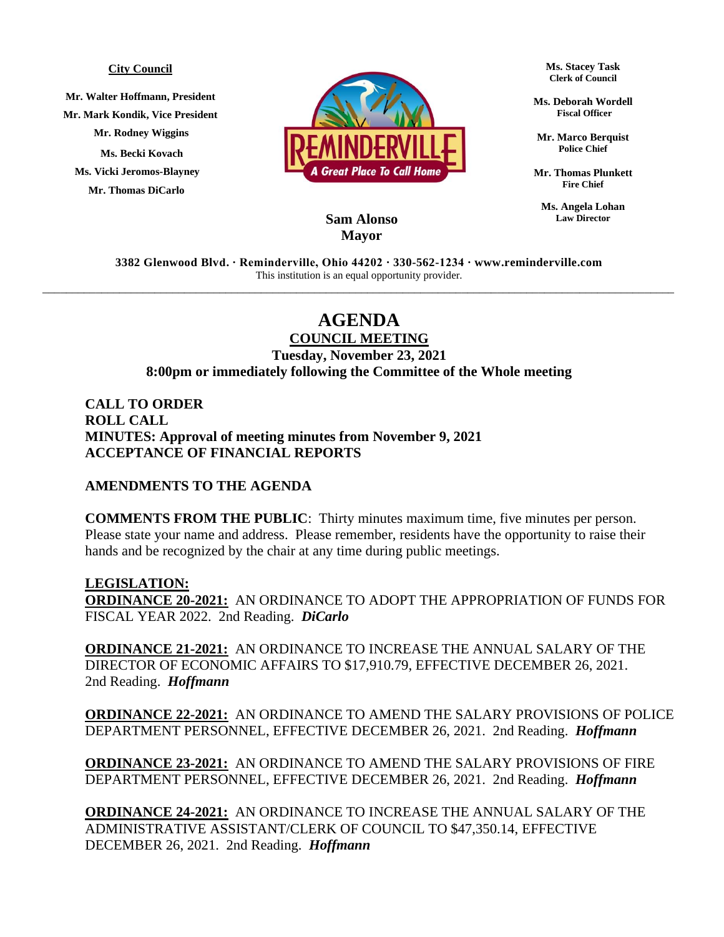## **City Council**

**Mr. Walter Hoffmann, President Mr. Mark Kondik, Vice President Mr. Rodney Wiggins Ms. Becki Kovach Ms. Vicki Jeromos-Blayney Mr. Thomas DiCarlo**



**Ms. Stacey Task Clerk of Council**

**Ms. Deborah Wordell Fiscal Officer**

**Mr. Marco Berquist Police Chief**

**Mr. Thomas Plunkett Fire Chief**

**Ms. Angela Lohan Law Director**

## **Sam Alonso Mayor**

**3382 Glenwood Blvd. ∙ Reminderville, Ohio 44202 ∙ 330-562-1234 ∙ www.reminderville.com**  This institution is an equal opportunity provider. \_\_\_\_\_\_\_\_\_\_\_\_\_\_\_\_\_\_\_\_\_\_\_\_\_\_\_\_\_\_\_\_\_\_\_\_\_\_\_\_\_\_\_\_\_\_\_\_\_\_\_\_\_\_\_\_\_\_\_\_\_\_\_\_\_\_\_\_\_\_\_\_\_\_\_\_\_\_\_\_\_\_\_\_\_\_\_\_\_\_\_\_\_\_\_\_\_\_\_\_\_\_\_\_\_\_\_

## **AGENDA**

**COUNCIL MEETING Tuesday, November 23, 2021 8:00pm or immediately following the Committee of the Whole meeting**

**CALL TO ORDER ROLL CALL MINUTES: Approval of meeting minutes from November 9, 2021 ACCEPTANCE OF FINANCIAL REPORTS**

## **AMENDMENTS TO THE AGENDA**

**COMMENTS FROM THE PUBLIC**: Thirty minutes maximum time, five minutes per person. Please state your name and address. Please remember, residents have the opportunity to raise their hands and be recognized by the chair at any time during public meetings.

**LEGISLATION: ORDINANCE 20-2021:** AN ORDINANCE TO ADOPT THE APPROPRIATION OF FUNDS FOR FISCAL YEAR 2022. 2nd Reading. *DiCarlo*

**ORDINANCE 21-2021:** AN ORDINANCE TO INCREASE THE ANNUAL SALARY OF THE DIRECTOR OF ECONOMIC AFFAIRS TO \$17,910.79, EFFECTIVE DECEMBER 26, 2021. 2nd Reading. *Hoffmann*

**ORDINANCE 22-2021:** AN ORDINANCE TO AMEND THE SALARY PROVISIONS OF POLICE DEPARTMENT PERSONNEL, EFFECTIVE DECEMBER 26, 2021. 2nd Reading. *Hoffmann*

**ORDINANCE 23-2021:** AN ORDINANCE TO AMEND THE SALARY PROVISIONS OF FIRE DEPARTMENT PERSONNEL, EFFECTIVE DECEMBER 26, 2021. 2nd Reading. *Hoffmann*

**ORDINANCE 24-2021:** AN ORDINANCE TO INCREASE THE ANNUAL SALARY OF THE ADMINISTRATIVE ASSISTANT/CLERK OF COUNCIL TO \$47,350.14, EFFECTIVE DECEMBER 26, 2021. 2nd Reading. *Hoffmann*